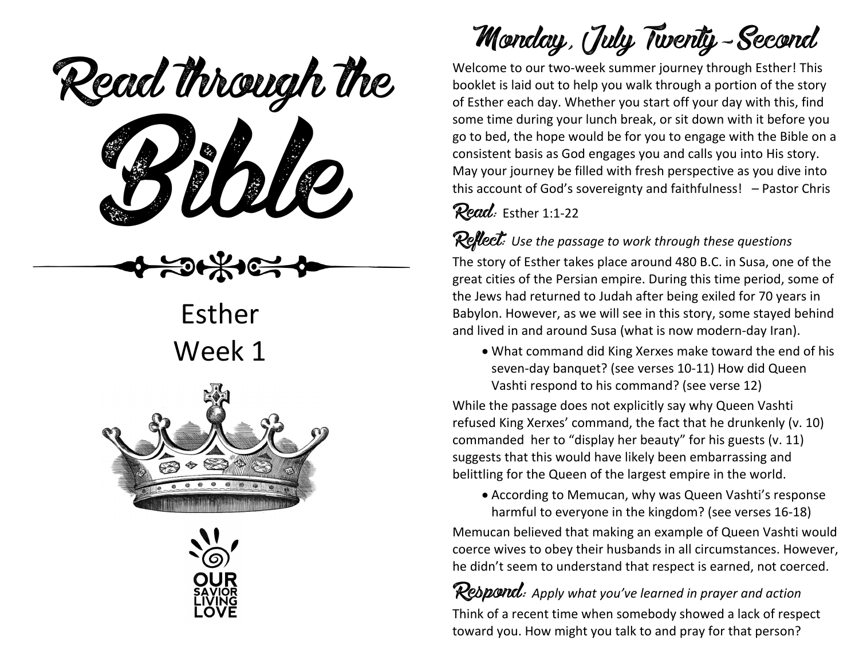eaa mough u Read through the



Esther Week 1





# Monday, July Twenty-Second

Welcome to our two-week summer journey through Esther! This booklet is laid out to help you walk through a portion of the story of Esther each day. Whether you start off your day with this, find some time during your lunch break, or sit down with it before you go to bed, the hope would be for you to engage with the Bible on a consistent basis as God engages you and calls you into His story. May your journey be filled with fresh perspective as you dive into this account of God's sovereignty and faithfulness! – Pastor Chris

#### Read: Esther 1:1-22

Reflect: *Use the passage to work through these questions*

The story of Esther takes place around 480 B.C. in Susa, one of the great cities of the Persian empire. During this time period, some of the Jews had returned to Judah after being exiled for 70 years in Babylon. However, as we will see in this story, some stayed behind and lived in and around Susa (what is now modern-day Iran).

• What command did King Xerxes make toward the end of his seven-day banquet? (see verses 10-11) How did Queen Vashti respond to his command? (see verse 12)

While the passage does not explicitly say why Queen Vashti refused King Xerxes' command, the fact that he drunkenly (v. 10) commanded her to "display her beauty" for his guests (v. 11) suggests that this would have likely been embarrassing and belittling for the Queen of the largest empire in the world.

• According to Memucan, why was Queen Vashti's response harmful to everyone in the kingdom? (see verses 16-18)

Memucan believed that making an example of Queen Vashti would coerce wives to obey their husbands in all circumstances. However, he didn't seem to understand that respect is earned, not coerced.

Respond: *Apply what you've learned in prayer and action* Think of a recent time when somebody showed a lack of respect toward you. How might you talk to and pray for that person?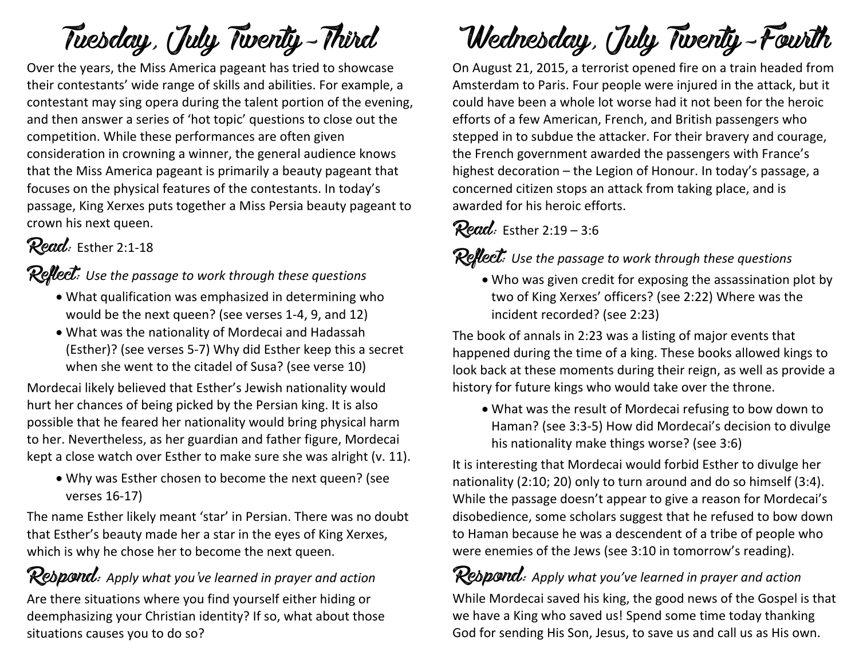## Tuesday, July Twenty-Third

Over the years, the Miss America pageant has tried to showcase their contestants' wide range of skills and abilities. For example, a contestant may sing opera during the talent portion of the evening, and then answer a series of 'hot topic' questions to close out the competition. While these performances are often given consideration in crowning a winner, the general audience knows that the Miss America pageant is primarily a beauty pageant that focuses on the physical features of the contestants. In today's passage, King Xerxes puts together a Miss Persia beauty pageant to crown his next queen.

## Read: Esther 2:1-18

#### Reflect: *Use the passage to work through these questions*

- What qualification was emphasized in determining who would be the next queen? (see verses 1-4, 9, and 12)
- What was the nationality of Mordecai and Hadassah (Esther)? (see verses 5-7) Why did Esther keep this a secret when she went to the citadel of Susa? (see verse 10)

Mordecai likely believed that Esther's Jewish nationality would hurt her chances of being picked by the Persian king. It is also possible that he feared her nationality would bring physical harm to her. Nevertheless, as her guardian and father figure, Mordecai kept a close watch over Esther to make sure she was alright (v. 11).

• Why was Esther chosen to become the next queen? (see verses 16-17)

The name Esther likely meant 'star' in Persian. There was no doubt that Esther's beauty made her a star in the eyes of King Xerxes, which is why he chose her to become the next queen.

Respond: *Apply what you've learned in prayer and action* Are there situations where you find yourself either hiding or deemphasizing your Christian identity? If so, what about those situations causes you to do so?

# Wednesday, July Twenty-Fourth

On August 21, 2015, a terrorist opened fire on a train headed from Amsterdam to Paris. Four people were injured in the attack, but it could have been a whole lot worse had it not been for the heroic efforts of a few American, French, and British passengers who stepped in to subdue the attacker. For their bravery and courage, the French government awarded the passengers with France's highest decoration – the Legion of Honour. In today's passage, a concerned citizen stops an attack from taking place, and is awarded for his heroic efforts.

### Read: Esther 2:19 - 3:6

### Reflect: *Use the passage to work through these questions*

• Who was given credit for exposing the assassination plot by two of King Xerxes' officers? (see 2:22) Where was the incident recorded? (see 2:23)

The book of annals in 2:23 was a listing of major events that happened during the time of a king. These books allowed kings to look back at these moments during their reign, as well as provide a history for future kings who would take over the throne.

• What was the result of Mordecai refusing to bow down to Haman? (see 3:3-5) How did Mordecai's decision to divulge his nationality make things worse? (see 3:6)

It is interesting that Mordecai would forbid Esther to divulge her nationality (2:10; 20) only to turn around and do so himself (3:4). While the passage doesn't appear to give a reason for Mordecai's disobedience, some scholars suggest that he refused to bow down to Haman because he was a descendent of a tribe of people who were enemies of the Jews (see 3:10 in tomorrow's reading).

Respond: *Apply what you've learned in prayer and action* While Mordecai saved his king, the good news of the Gospel is that we have a King who saved us! Spend some time today thanking God for sending His Son, Jesus, to save us and call us as His own.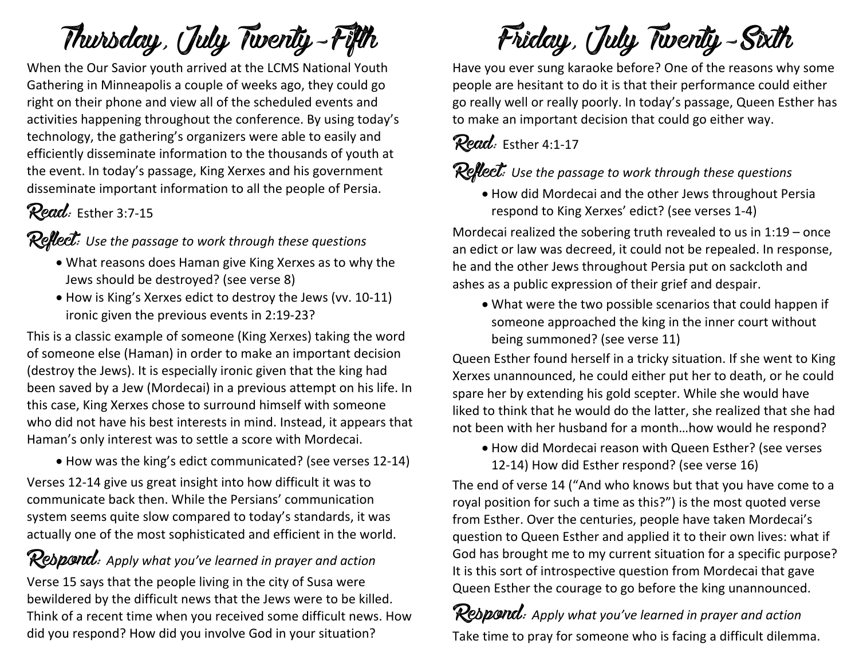# Thursday, July Twenty-Fifth

When the Our Savior youth arrived at the LCMS National Youth Gathering in Minneapolis a couple of weeks ago, they could go right on their phone and view all of the scheduled events and activities happening throughout the conference. By using today's technology, the gathering's organizers were able to easily and efficiently disseminate information to the thousands of youth at the event. In today's passage, King Xerxes and his government disseminate important information to all the people of Persia.

## Read: Esther 3:7-15

Reflect: *Use the passage to work through these questions*

- What reasons does Haman give King Xerxes as to why the Jews should be destroyed? (see verse 8)
- How is King's Xerxes edict to destroy the Jews (vv. 10-11) ironic given the previous events in 2:19-23?

This is a classic example of someone (King Xerxes) taking the word of someone else (Haman) in order to make an important decision (destroy the Jews). It is especially ironic given that the king had been saved by a Jew (Mordecai) in a previous attempt on his life. In this case, King Xerxes chose to surround himself with someone who did not have his best interests in mind. Instead, it appears that Haman's only interest was to settle a score with Mordecai.

• How was the king's edict communicated? (see verses 12-14)

Verses 12-14 give us great insight into how difficult it was to communicate back then. While the Persians' communication system seems quite slow compared to today's standards, it was actually one of the most sophisticated and efficient in the world.

Rebpond: Apply what you've learned in prayer and action Verse 15 says that the people living in the city of Susa were bewildered by the difficult news that the Jews were to be killed. Think of a recent time when you received some difficult news. How

did you respond? How did you involve God in your situation?

Friday, July Twenty-Sixth

Have you ever sung karaoke before? One of the reasons why some people are hesitant to do it is that their performance could either go really well or really poorly. In today's passage, Queen Esther has to make an important decision that could go either way.

#### Read: Esther 4:1-17

### Reflect: *Use the passage to work through these questions*

• How did Mordecai and the other Jews throughout Persia respond to King Xerxes' edict? (see verses 1-4)

Mordecai realized the sobering truth revealed to us in 1:19 – once an edict or law was decreed, it could not be repealed. In response, he and the other Jews throughout Persia put on sackcloth and ashes as a public expression of their grief and despair.

• What were the two possible scenarios that could happen if someone approached the king in the inner court without being summoned? (see verse 11)

Queen Esther found herself in a tricky situation. If she went to King Xerxes unannounced, he could either put her to death, or he could spare her by extending his gold scepter. While she would have liked to think that he would do the latter, she realized that she had not been with her husband for a month…how would he respond?

• How did Mordecai reason with Queen Esther? (see verses 12-14) How did Esther respond? (see verse 16)

The end of verse 14 ("And who knows but that you have come to a royal position for such a time as this?") is the most quoted verse from Esther. Over the centuries, people have taken Mordecai's question to Queen Esther and applied it to their own lives: what if God has brought me to my current situation for a specific purpose? It is this sort of introspective question from Mordecai that gave Queen Esther the courage to go before the king unannounced.

Respond: *Apply what you've learned in prayer and action* Take time to pray for someone who is facing a difficult dilemma.